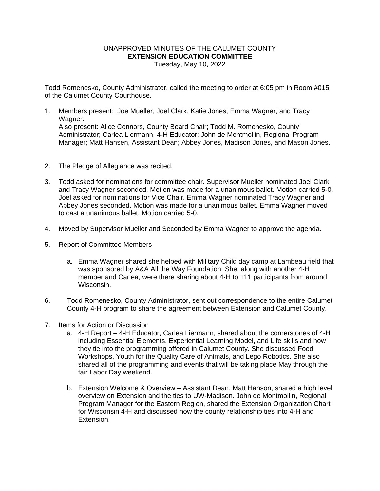## UNAPPROVED MINUTES OF THE CALUMET COUNTY **EXTENSION EDUCATION COMMITTEE** Tuesday, May 10, 2022

Todd Romenesko, County Administrator, called the meeting to order at 6:05 pm in Room #015 of the Calumet County Courthouse.

- 1. Members present: Joe Mueller, Joel Clark, Katie Jones, Emma Wagner, and Tracy Wagner. Also present: Alice Connors, County Board Chair; Todd M. Romenesko, County Administrator; Carlea Liermann, 4-H Educator; John de Montmollin, Regional Program Manager; Matt Hansen, Assistant Dean; Abbey Jones, Madison Jones, and Mason Jones.
- 2. The Pledge of Allegiance was recited.
- 3. Todd asked for nominations for committee chair. Supervisor Mueller nominated Joel Clark and Tracy Wagner seconded. Motion was made for a unanimous ballet. Motion carried 5-0. Joel asked for nominations for Vice Chair. Emma Wagner nominated Tracy Wagner and Abbey Jones seconded. Motion was made for a unanimous ballet. Emma Wagner moved to cast a unanimous ballet. Motion carried 5-0.
- 4. Moved by Supervisor Mueller and Seconded by Emma Wagner to approve the agenda.
- 5. Report of Committee Members
	- a. Emma Wagner shared she helped with Military Child day camp at Lambeau field that was sponsored by A&A All the Way Foundation. She, along with another 4-H member and Carlea, were there sharing about 4-H to 111 participants from around Wisconsin.
- 6. Todd Romenesko, County Administrator, sent out correspondence to the entire Calumet County 4-H program to share the agreement between Extension and Calumet County.
- 7. Items for Action or Discussion
	- a. 4-H Report 4-H Educator, Carlea Liermann, shared about the cornerstones of 4-H including Essential Elements, Experiential Learning Model, and Life skills and how they tie into the programming offered in Calumet County. She discussed Food Workshops, Youth for the Quality Care of Animals, and Lego Robotics. She also shared all of the programming and events that will be taking place May through the fair Labor Day weekend.
	- b. Extension Welcome & Overview Assistant Dean, Matt Hanson, shared a high level overview on Extension and the ties to UW-Madison. John de Montmollin, Regional Program Manager for the Eastern Region, shared the Extension Organization Chart for Wisconsin 4-H and discussed how the county relationship ties into 4-H and Extension.